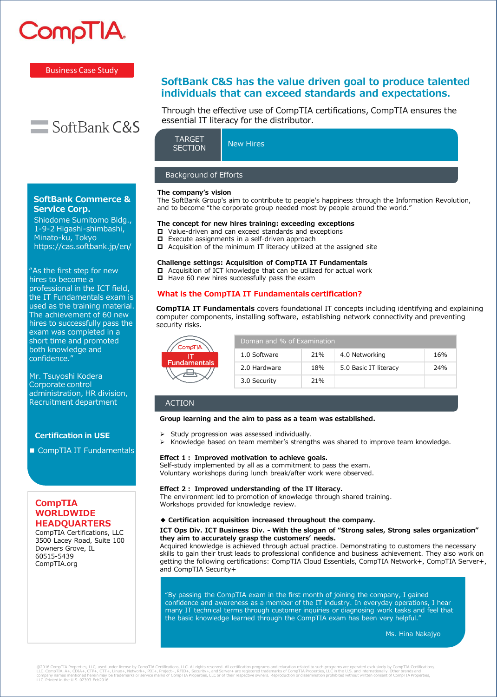

# Business Case Study



**SoftBank Commerce & Service Corp.**

Shiodome Sumitomo Bldg., 1-9-2 Higashi-shimbashi, Minato-ku, Tokyo https://cas.softbank.jp/en/

"As the first step for new hires to become a professional in the ICT field, the IT Fundamentals exam is used as the training material. The achievement of 60 new hires to successfully pass the exam was completed in a short time and promoted both knowledge and confidence."

Mr. Tsuyoshi Kodera Corporate control administration, HR division, Recruitment department

# **Certification in USE**

■ CompTIA IT Fundamentals

# **CompTIA WORLDWIDE HEADQUARTERS**

CompTIA Certifications, LLC 3500 Lacey Road, Suite 100 Downers Grove, IL 60515-5439 CompTIA.org

# **SoftBank C&S has the value driven goal to produce talented individuals that can exceed standards and expectations.**

Through the effective use of CompTIA certifications, CompTIA ensures the essential IT literacy for the distributor.

| <b>TARGET</b><br><b>SECTION</b> | New Hires |  |  |
|---------------------------------|-----------|--|--|
|                                 |           |  |  |
| <b>Background of Efforts</b>    |           |  |  |

#### **The company's vision**

The SoftBank Group's aim to contribute to people's happiness through the Information Revolution, and to become "the corporate group needed most by people around the world."

# **The concept for new hires training: exceeding exceptions**

- □ Value-driven and can exceed standards and exceptions
- Execute assignments in a self-driven approach
- $\Box$  Acquisition of the minimum IT literacy utilized at the assigned site

# **Challenge settings: Acquisition of CompTIA IT Fundamentals**

 $\Box$  Acquisition of ICT knowledge that can be utilized for actual work

 $\Box$  Have 60 new hires successfully pass the exam

# **What is the CompTIA IT Fundamentals certification?**

**CompTIA IT Fundamentals** covers foundational IT concepts including identifying and explaining computer components, installing software, establishing network connectivity and preventing security risks.

| <b>ompTIA</b>    | Doman and % of Examination |     |                       |     |  |
|------------------|----------------------------|-----|-----------------------|-----|--|
| <b>damentals</b> | 1.0 Software               | 21% | 4.0 Networking        | 16% |  |
|                  | 2.0 Hardware               | 18% | 5.0 Basic IT literacy | 24% |  |
|                  | 3.0 Security               | 21% |                       |     |  |

# ACTION

#### **Group learning and the aim to pass as a team was established.**

- ➢ Study progression was assessed individually.
- ➢ Knowledge based on team member's strengths was shared to improve team knowledge.

### **Effect 1: Improved motivation to achieve goals.**

Self-study implemented by all as a commitment to pass the exam. Voluntary workshops during lunch break/after work were observed.

### **Effect 2: Improved understanding of the IT literacy.**

The environment led to promotion of knowledge through shared training. Workshops provided for knowledge review.

### **◆ Certification acquisition increased throughout the company.**

### **ICT Ops Div. ICT Business Div. - With the slogan of "Strong sales, Strong sales organization" they aim to accurately grasp the customers' needs.**

Acquired knowledge is achieved through actual practice. Demonstrating to customers the necessary skills to gain their trust leads to professional confidence and business achievement. They also work on getting the following certifications: CompTIA Cloud Essentials, CompTIA Network+, CompTIA Server+, and CompTIA Security+

"By passing the CompTIA exam in the first month of joining the company, I gained confidence and awareness as a member of the IT industry. In everyday operations, I hear many IT technical terms through customer inquiries or diagnosing work tasks and feel that the basic knowledge learned through the CompTIA exam has been very helpful."

Ms. Hina Nakajyo

@2016 CompTIA Properties, LLC, used under license by CompTIA Certifications, LLC. All rights reserved. All certifications, cure respects and education related to such proparms are operated exclusively by CompTIA Propertics